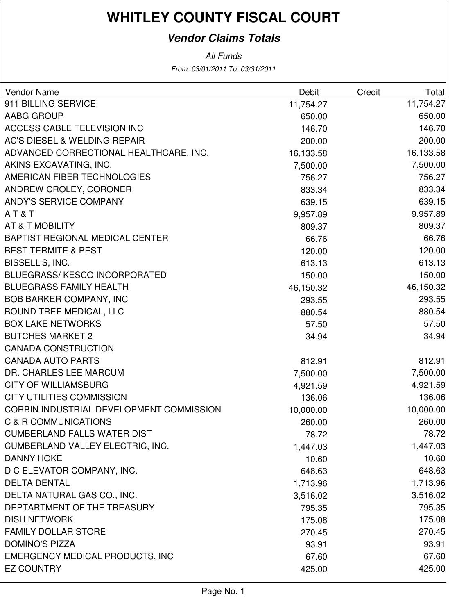# **WHITLEY COUNTY FISCAL COURT**

### **Vendor Claims Totals**

From: 03/01/2011 To: 03/31/2011 All Funds

| Vendor Name                              | Debit     | Credit | Total     |
|------------------------------------------|-----------|--------|-----------|
| 911 BILLING SERVICE                      | 11,754.27 |        | 11,754.27 |
| <b>AABG GROUP</b>                        | 650.00    |        | 650.00    |
| ACCESS CABLE TELEVISION INC              | 146.70    |        | 146.70    |
| <b>AC'S DIESEL &amp; WELDING REPAIR</b>  | 200.00    |        | 200.00    |
| ADVANCED CORRECTIONAL HEALTHCARE, INC.   | 16,133.58 |        | 16,133.58 |
| AKINS EXCAVATING, INC.                   | 7,500.00  |        | 7,500.00  |
| AMERICAN FIBER TECHNOLOGIES              | 756.27    |        | 756.27    |
| ANDREW CROLEY, CORONER                   | 833.34    |        | 833.34    |
| ANDY'S SERVICE COMPANY                   | 639.15    |        | 639.15    |
| AT&T                                     | 9,957.89  |        | 9,957.89  |
| AT & T MOBILITY                          | 809.37    |        | 809.37    |
| <b>BAPTIST REGIONAL MEDICAL CENTER</b>   | 66.76     |        | 66.76     |
| <b>BEST TERMITE &amp; PEST</b>           | 120.00    |        | 120.00    |
| BISSELL'S, INC.                          | 613.13    |        | 613.13    |
| <b>BLUEGRASS/ KESCO INCORPORATED</b>     | 150.00    |        | 150.00    |
| <b>BLUEGRASS FAMILY HEALTH</b>           | 46,150.32 |        | 46,150.32 |
| <b>BOB BARKER COMPANY, INC</b>           | 293.55    |        | 293.55    |
| <b>BOUND TREE MEDICAL, LLC</b>           | 880.54    |        | 880.54    |
| <b>BOX LAKE NETWORKS</b>                 | 57.50     |        | 57.50     |
| <b>BUTCHES MARKET 2</b>                  | 34.94     |        | 34.94     |
| <b>CANADA CONSTRUCTION</b>               |           |        |           |
| <b>CANADA AUTO PARTS</b>                 | 812.91    |        | 812.91    |
| DR. CHARLES LEE MARCUM                   | 7,500.00  |        | 7,500.00  |
| <b>CITY OF WILLIAMSBURG</b>              | 4,921.59  |        | 4,921.59  |
| <b>CITY UTILITIES COMMISSION</b>         | 136.06    |        | 136.06    |
| CORBIN INDUSTRIAL DEVELOPMENT COMMISSION | 10,000.00 |        | 10,000.00 |
| <b>C &amp; R COMMUNICATIONS</b>          | 260.00    |        | 260.00    |
| <b>CUMBERLAND FALLS WATER DIST</b>       | 78.72     |        | 78.72     |
| <b>CUMBERLAND VALLEY ELECTRIC, INC.</b>  | 1,447.03  |        | 1,447.03  |
| <b>DANNY HOKE</b>                        | 10.60     |        | 10.60     |
| D C ELEVATOR COMPANY, INC.               | 648.63    |        | 648.63    |
| <b>DELTA DENTAL</b>                      | 1,713.96  |        | 1,713.96  |
| DELTA NATURAL GAS CO., INC.              | 3,516.02  |        | 3,516.02  |
| DEPTARTMENT OF THE TREASURY              | 795.35    |        | 795.35    |
| <b>DISH NETWORK</b>                      | 175.08    |        | 175.08    |
| <b>FAMILY DOLLAR STORE</b>               | 270.45    |        | 270.45    |
| <b>DOMINO'S PIZZA</b>                    | 93.91     |        | 93.91     |
| EMERGENCY MEDICAL PRODUCTS, INC          | 67.60     |        | 67.60     |
| <b>EZ COUNTRY</b>                        | 425.00    |        | 425.00    |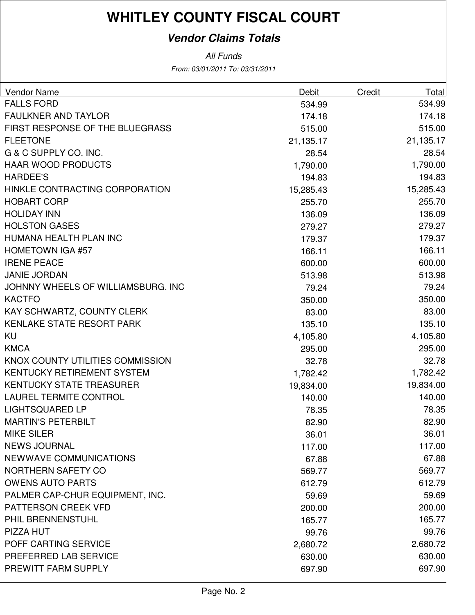# **WHITLEY COUNTY FISCAL COURT**

### **Vendor Claims Totals**

From: 03/01/2011 To: 03/31/2011 All Funds

| <b>Vendor Name</b>                 | Debit     | Credit | Total     |
|------------------------------------|-----------|--------|-----------|
| <b>FALLS FORD</b>                  | 534.99    |        | 534.99    |
| <b>FAULKNER AND TAYLOR</b>         | 174.18    |        | 174.18    |
| FIRST RESPONSE OF THE BLUEGRASS    | 515.00    |        | 515.00    |
| <b>FLEETONE</b>                    | 21,135.17 |        | 21,135.17 |
| G & C SUPPLY CO. INC.              | 28.54     |        | 28.54     |
| <b>HAAR WOOD PRODUCTS</b>          | 1,790.00  |        | 1,790.00  |
| <b>HARDEE'S</b>                    | 194.83    |        | 194.83    |
| HINKLE CONTRACTING CORPORATION     | 15,285.43 |        | 15,285.43 |
| <b>HOBART CORP</b>                 | 255.70    |        | 255.70    |
| <b>HOLIDAY INN</b>                 | 136.09    |        | 136.09    |
| <b>HOLSTON GASES</b>               | 279.27    |        | 279.27    |
| HUMANA HEALTH PLAN INC             | 179.37    |        | 179.37    |
| <b>HOMETOWN IGA #57</b>            | 166.11    |        | 166.11    |
| <b>IRENE PEACE</b>                 | 600.00    |        | 600.00    |
| <b>JANIE JORDAN</b>                | 513.98    |        | 513.98    |
| JOHNNY WHEELS OF WILLIAMSBURG, INC | 79.24     |        | 79.24     |
| <b>KACTFO</b>                      | 350.00    |        | 350.00    |
| KAY SCHWARTZ, COUNTY CLERK         | 83.00     |        | 83.00     |
| <b>KENLAKE STATE RESORT PARK</b>   | 135.10    |        | 135.10    |
| <b>KU</b>                          | 4,105.80  |        | 4,105.80  |
| <b>KMCA</b>                        | 295.00    |        | 295.00    |
| KNOX COUNTY UTILITIES COMMISSION   | 32.78     |        | 32.78     |
| KENTUCKY RETIREMENT SYSTEM         | 1,782.42  |        | 1,782.42  |
| <b>KENTUCKY STATE TREASURER</b>    | 19,834.00 |        | 19,834.00 |
| <b>LAUREL TERMITE CONTROL</b>      | 140.00    |        | 140.00    |
| <b>LIGHTSQUARED LP</b>             | 78.35     |        | 78.35     |
| <b>MARTIN'S PETERBILT</b>          | 82.90     |        | 82.90     |
| <b>MIKE SILER</b>                  | 36.01     |        | 36.01     |
| <b>NEWS JOURNAL</b>                | 117.00    |        | 117.00    |
| <b>NEWWAVE COMMUNICATIONS</b>      | 67.88     |        | 67.88     |
| NORTHERN SAFETY CO                 | 569.77    |        | 569.77    |
| <b>OWENS AUTO PARTS</b>            | 612.79    |        | 612.79    |
| PALMER CAP-CHUR EQUIPMENT, INC.    | 59.69     |        | 59.69     |
| <b>PATTERSON CREEK VFD</b>         | 200.00    |        | 200.00    |
| PHIL BRENNENSTUHL                  | 165.77    |        | 165.77    |
| PIZZA HUT                          | 99.76     |        | 99.76     |
| POFF CARTING SERVICE               | 2,680.72  |        | 2,680.72  |
| PREFERRED LAB SERVICE              | 630.00    |        | 630.00    |
| PREWITT FARM SUPPLY                | 697.90    |        | 697.90    |